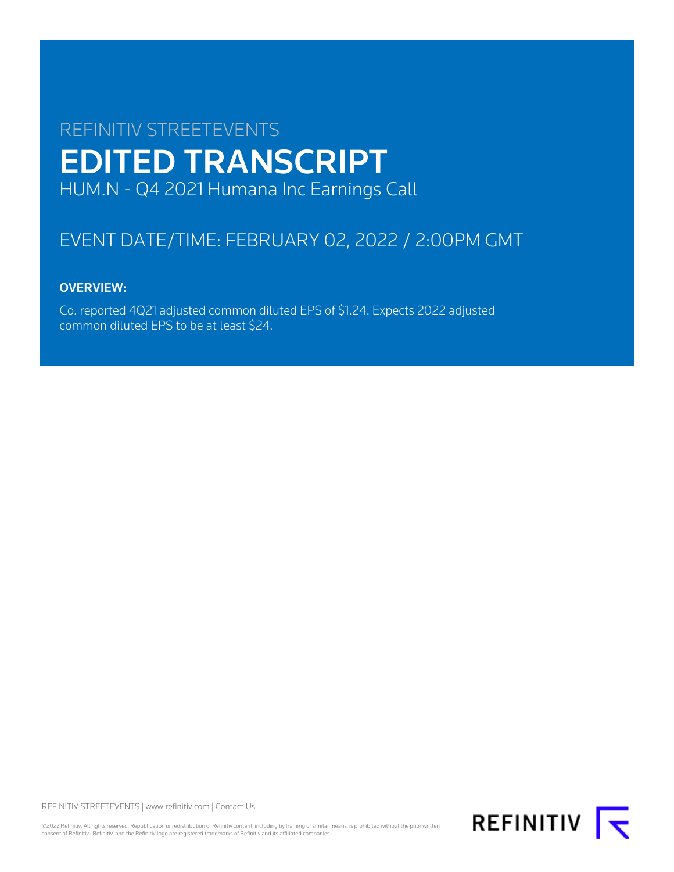# REFINITIV STREETEVENTS EDITED TRANSCRIPT HUM.N - Q4 2021 Humana Inc Earnings Call

# EVENT DATE/TIME: FEBRUARY 02, 2022 / 2:00PM GMT

# OVERVIEW:

Co. reported 4Q21 adjusted common diluted EPS of \$1.24. Expects 2022 adjusted common diluted EPS to be at least \$24.

REFINITIV STREETEVENTS | [www.refinitiv.com](https://www.refinitiv.com/) | [Contact Us](https://www.refinitiv.com/en/contact-us)

©2022 Refinitiv. All rights reserved. Republication or redistribution of Refinitiv content, including by framing or similar means, is prohibited without the prior written consent of Refinitiv. 'Refinitiv' and the Refinitiv logo are registered trademarks of Refinitiv and its affiliated companies.

**REFINITIV**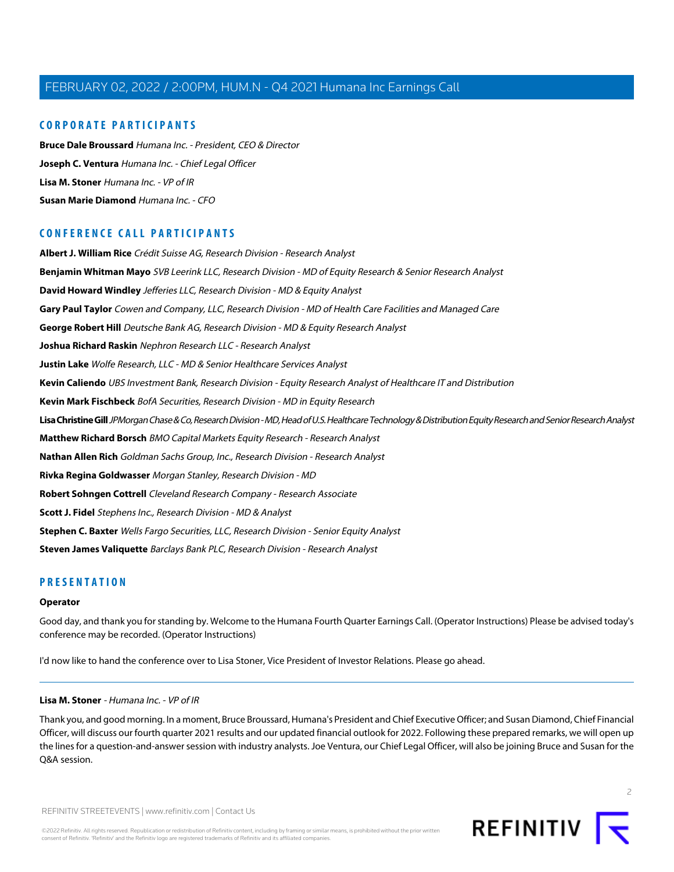# **CORPORATE PARTICIPANTS**

**[Bruce Dale Broussard](#page-2-0)** Humana Inc. - President, CEO & Director **[Joseph C. Ventura](#page-16-0)** Humana Inc. - Chief Legal Officer **[Lisa M. Stoner](#page-1-0)** Humana Inc. - VP of IR **[Susan Marie Diamond](#page-5-0)** Humana Inc. - CFO

# **CONFERENCE CALL PARTICIPANTS**

**[Albert J. William Rice](#page-12-0)** Crédit Suisse AG, Research Division - Research Analyst **[Benjamin Whitman Mayo](#page-16-1)** SVB Leerink LLC, Research Division - MD of Equity Research & Senior Research Analyst **[David Howard Windley](#page-14-0)** Jefferies LLC, Research Division - MD & Equity Analyst **[Gary Paul Taylor](#page-17-0)** Cowen and Company, LLC, Research Division - MD of Health Care Facilities and Managed Care **[George Robert Hill](#page-19-0)** Deutsche Bank AG, Research Division - MD & Equity Research Analyst **[Joshua Richard Raskin](#page-12-1)** Nephron Research LLC - Research Analyst **[Justin Lake](#page-9-0)** Wolfe Research, LLC - MD & Senior Healthcare Services Analyst **[Kevin Caliendo](#page-14-1)** UBS Investment Bank, Research Division - Equity Research Analyst of Healthcare IT and Distribution **[Kevin Mark Fischbeck](#page-10-0)** BofA Securities, Research Division - MD in Equity Research **[Lisa Christine Gill](#page-18-0)** JPMorgan Chase & Co, Research Division - MD, Head of U.S. Healthcare Technology & Distribution Equity Research and Senior Research Analyst **[Matthew Richard Borsch](#page-9-1)** BMO Capital Markets Equity Research - Research Analyst **[Nathan Allen Rich](#page-17-1)** Goldman Sachs Group, Inc., Research Division - Research Analyst **[Rivka Regina Goldwasser](#page-15-0)** Morgan Stanley, Research Division - MD **[Robert Sohngen Cottrell](#page-20-0)** Cleveland Research Company - Research Associate **[Scott J. Fidel](#page-13-0)** Stephens Inc., Research Division - MD & Analyst **[Stephen C. Baxter](#page-11-0)** Wells Fargo Securities, LLC, Research Division - Senior Equity Analyst **[Steven James Valiquette](#page-20-1)** Barclays Bank PLC, Research Division - Research Analyst

# **PRESENTATION**

#### **Operator**

<span id="page-1-0"></span>Good day, and thank you for standing by. Welcome to the Humana Fourth Quarter Earnings Call. (Operator Instructions) Please be advised today's conference may be recorded. (Operator Instructions)

I'd now like to hand the conference over to Lisa Stoner, Vice President of Investor Relations. Please go ahead.

#### **Lisa M. Stoner** - Humana Inc. - VP of IR

Thank you, and good morning. In a moment, Bruce Broussard, Humana's President and Chief Executive Officer; and Susan Diamond, Chief Financial Officer, will discuss our fourth quarter 2021 results and our updated financial outlook for 2022. Following these prepared remarks, we will open up the lines for a question-and-answer session with industry analysts. Joe Ventura, our Chief Legal Officer, will also be joining Bruce and Susan for the Q&A session.



©2022 Refinitiv. All rights reserved. Republication or redistribution of Refinitiv content, including by framing or similar means, is prohibited without the prior written consent of Refinitiv. 'Refinitiv' and the Refinitiv logo are registered trademarks of Refinitiv and its affiliated companies.

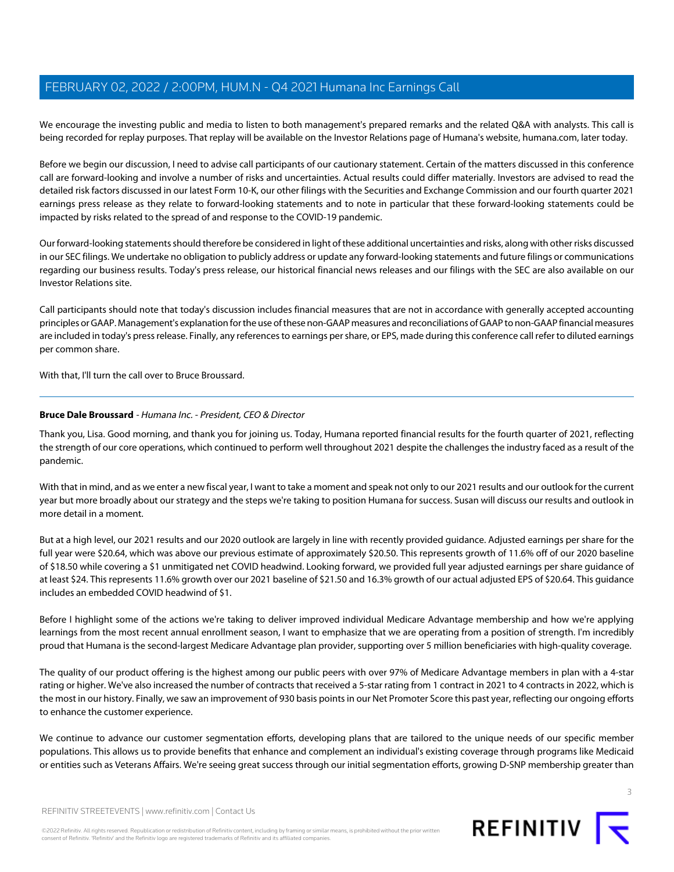We encourage the investing public and media to listen to both management's prepared remarks and the related Q&A with analysts. This call is being recorded for replay purposes. That replay will be available on the Investor Relations page of Humana's website, humana.com, later today.

Before we begin our discussion, I need to advise call participants of our cautionary statement. Certain of the matters discussed in this conference call are forward-looking and involve a number of risks and uncertainties. Actual results could differ materially. Investors are advised to read the detailed risk factors discussed in our latest Form 10-K, our other filings with the Securities and Exchange Commission and our fourth quarter 2021 earnings press release as they relate to forward-looking statements and to note in particular that these forward-looking statements could be impacted by risks related to the spread of and response to the COVID-19 pandemic.

Our forward-looking statements should therefore be considered in light of these additional uncertainties and risks, along with other risks discussed in our SEC filings. We undertake no obligation to publicly address or update any forward-looking statements and future filings or communications regarding our business results. Today's press release, our historical financial news releases and our filings with the SEC are also available on our Investor Relations site.

Call participants should note that today's discussion includes financial measures that are not in accordance with generally accepted accounting principles or GAAP. Management's explanation for the use of these non-GAAP measures and reconciliations of GAAP to non-GAAP financial measures are included in today's press release. Finally, any references to earnings per share, or EPS, made during this conference call refer to diluted earnings per common share.

<span id="page-2-0"></span>With that, I'll turn the call over to Bruce Broussard.

# **Bruce Dale Broussard** - Humana Inc. - President, CEO & Director

Thank you, Lisa. Good morning, and thank you for joining us. Today, Humana reported financial results for the fourth quarter of 2021, reflecting the strength of our core operations, which continued to perform well throughout 2021 despite the challenges the industry faced as a result of the pandemic.

With that in mind, and as we enter a new fiscal year, I want to take a moment and speak not only to our 2021 results and our outlook for the current year but more broadly about our strategy and the steps we're taking to position Humana for success. Susan will discuss our results and outlook in more detail in a moment.

But at a high level, our 2021 results and our 2020 outlook are largely in line with recently provided guidance. Adjusted earnings per share for the full year were \$20.64, which was above our previous estimate of approximately \$20.50. This represents growth of 11.6% off of our 2020 baseline of \$18.50 while covering a \$1 unmitigated net COVID headwind. Looking forward, we provided full year adjusted earnings per share guidance of at least \$24. This represents 11.6% growth over our 2021 baseline of \$21.50 and 16.3% growth of our actual adjusted EPS of \$20.64. This guidance includes an embedded COVID headwind of \$1.

Before I highlight some of the actions we're taking to deliver improved individual Medicare Advantage membership and how we're applying learnings from the most recent annual enrollment season, I want to emphasize that we are operating from a position of strength. I'm incredibly proud that Humana is the second-largest Medicare Advantage plan provider, supporting over 5 million beneficiaries with high-quality coverage.

The quality of our product offering is the highest among our public peers with over 97% of Medicare Advantage members in plan with a 4-star rating or higher. We've also increased the number of contracts that received a 5-star rating from 1 contract in 2021 to 4 contracts in 2022, which is the most in our history. Finally, we saw an improvement of 930 basis points in our Net Promoter Score this past year, reflecting our ongoing efforts to enhance the customer experience.

We continue to advance our customer segmentation efforts, developing plans that are tailored to the unique needs of our specific member populations. This allows us to provide benefits that enhance and complement an individual's existing coverage through programs like Medicaid or entities such as Veterans Affairs. We're seeing great success through our initial segmentation efforts, growing D-SNP membership greater than

©2022 Refinitiv. All rights reserved. Republication or redistribution of Refinitiv content, including by framing or similar means, is prohibited without the prior written consent of Refinitiv. 'Refinitiv' and the Refinitiv logo are registered trademarks of Refinitiv and its affiliated companies.

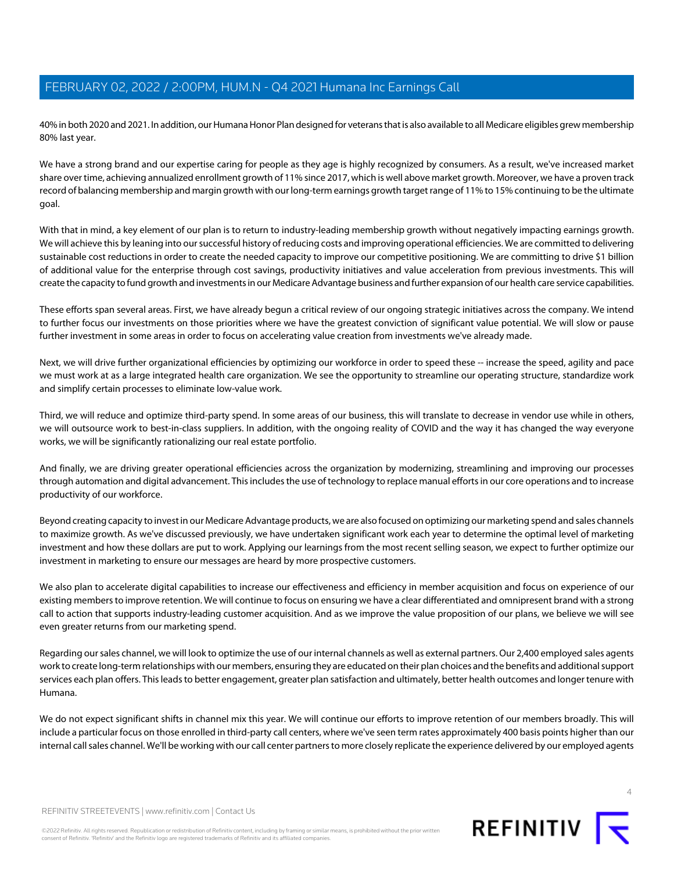40% in both 2020 and 2021. In addition, our Humana Honor Plan designed for veterans that is also available to all Medicare eligibles grew membership 80% last year.

We have a strong brand and our expertise caring for people as they age is highly recognized by consumers. As a result, we've increased market share over time, achieving annualized enrollment growth of 11% since 2017, which is well above market growth. Moreover, we have a proven track record of balancing membership and margin growth with our long-term earnings growth target range of 11% to 15% continuing to be the ultimate goal.

With that in mind, a key element of our plan is to return to industry-leading membership growth without negatively impacting earnings growth. We will achieve this by leaning into our successful history of reducing costs and improving operational efficiencies. We are committed to delivering sustainable cost reductions in order to create the needed capacity to improve our competitive positioning. We are committing to drive \$1 billion of additional value for the enterprise through cost savings, productivity initiatives and value acceleration from previous investments. This will create the capacity to fund growth and investments in our Medicare Advantage business and further expansion of our health care service capabilities.

These efforts span several areas. First, we have already begun a critical review of our ongoing strategic initiatives across the company. We intend to further focus our investments on those priorities where we have the greatest conviction of significant value potential. We will slow or pause further investment in some areas in order to focus on accelerating value creation from investments we've already made.

Next, we will drive further organizational efficiencies by optimizing our workforce in order to speed these -- increase the speed, agility and pace we must work at as a large integrated health care organization. We see the opportunity to streamline our operating structure, standardize work and simplify certain processes to eliminate low-value work.

Third, we will reduce and optimize third-party spend. In some areas of our business, this will translate to decrease in vendor use while in others, we will outsource work to best-in-class suppliers. In addition, with the ongoing reality of COVID and the way it has changed the way everyone works, we will be significantly rationalizing our real estate portfolio.

And finally, we are driving greater operational efficiencies across the organization by modernizing, streamlining and improving our processes through automation and digital advancement. This includes the use of technology to replace manual efforts in our core operations and to increase productivity of our workforce.

Beyond creating capacity to invest in our Medicare Advantage products, we are also focused on optimizing our marketing spend and sales channels to maximize growth. As we've discussed previously, we have undertaken significant work each year to determine the optimal level of marketing investment and how these dollars are put to work. Applying our learnings from the most recent selling season, we expect to further optimize our investment in marketing to ensure our messages are heard by more prospective customers.

We also plan to accelerate digital capabilities to increase our effectiveness and efficiency in member acquisition and focus on experience of our existing members to improve retention. We will continue to focus on ensuring we have a clear differentiated and omnipresent brand with a strong call to action that supports industry-leading customer acquisition. And as we improve the value proposition of our plans, we believe we will see even greater returns from our marketing spend.

Regarding our sales channel, we will look to optimize the use of our internal channels as well as external partners. Our 2,400 employed sales agents work to create long-term relationships with our members, ensuring they are educated on their plan choices and the benefits and additional support services each plan offers. This leads to better engagement, greater plan satisfaction and ultimately, better health outcomes and longer tenure with Humana.

We do not expect significant shifts in channel mix this year. We will continue our efforts to improve retention of our members broadly. This will include a particular focus on those enrolled in third-party call centers, where we've seen term rates approximately 400 basis points higher than our internal call sales channel. We'll be working with our call center partners to more closely replicate the experience delivered by our employed agents



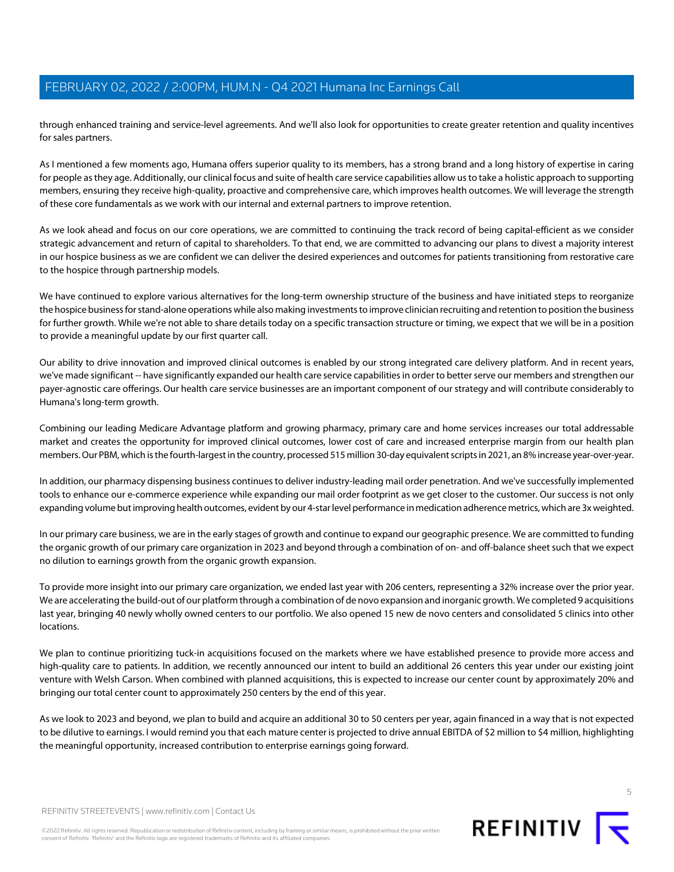through enhanced training and service-level agreements. And we'll also look for opportunities to create greater retention and quality incentives for sales partners.

As I mentioned a few moments ago, Humana offers superior quality to its members, has a strong brand and a long history of expertise in caring for people as they age. Additionally, our clinical focus and suite of health care service capabilities allow us to take a holistic approach to supporting members, ensuring they receive high-quality, proactive and comprehensive care, which improves health outcomes. We will leverage the strength of these core fundamentals as we work with our internal and external partners to improve retention.

As we look ahead and focus on our core operations, we are committed to continuing the track record of being capital-efficient as we consider strategic advancement and return of capital to shareholders. To that end, we are committed to advancing our plans to divest a majority interest in our hospice business as we are confident we can deliver the desired experiences and outcomes for patients transitioning from restorative care to the hospice through partnership models.

We have continued to explore various alternatives for the long-term ownership structure of the business and have initiated steps to reorganize the hospice business for stand-alone operations while also making investments to improve clinician recruiting and retention to position the business for further growth. While we're not able to share details today on a specific transaction structure or timing, we expect that we will be in a position to provide a meaningful update by our first quarter call.

Our ability to drive innovation and improved clinical outcomes is enabled by our strong integrated care delivery platform. And in recent years, we've made significant -- have significantly expanded our health care service capabilities in order to better serve our members and strengthen our payer-agnostic care offerings. Our health care service businesses are an important component of our strategy and will contribute considerably to Humana's long-term growth.

Combining our leading Medicare Advantage platform and growing pharmacy, primary care and home services increases our total addressable market and creates the opportunity for improved clinical outcomes, lower cost of care and increased enterprise margin from our health plan members. Our PBM, which is the fourth-largest in the country, processed 515 million 30-day equivalent scripts in 2021, an 8% increase year-over-year.

In addition, our pharmacy dispensing business continues to deliver industry-leading mail order penetration. And we've successfully implemented tools to enhance our e-commerce experience while expanding our mail order footprint as we get closer to the customer. Our success is not only expanding volume but improving health outcomes, evident by our 4-star level performance in medication adherence metrics, which are 3x weighted.

In our primary care business, we are in the early stages of growth and continue to expand our geographic presence. We are committed to funding the organic growth of our primary care organization in 2023 and beyond through a combination of on- and off-balance sheet such that we expect no dilution to earnings growth from the organic growth expansion.

To provide more insight into our primary care organization, we ended last year with 206 centers, representing a 32% increase over the prior year. We are accelerating the build-out of our platform through a combination of de novo expansion and inorganic growth. We completed 9 acquisitions last year, bringing 40 newly wholly owned centers to our portfolio. We also opened 15 new de novo centers and consolidated 5 clinics into other locations.

We plan to continue prioritizing tuck-in acquisitions focused on the markets where we have established presence to provide more access and high-quality care to patients. In addition, we recently announced our intent to build an additional 26 centers this year under our existing joint venture with Welsh Carson. When combined with planned acquisitions, this is expected to increase our center count by approximately 20% and bringing our total center count to approximately 250 centers by the end of this year.

As we look to 2023 and beyond, we plan to build and acquire an additional 30 to 50 centers per year, again financed in a way that is not expected to be dilutive to earnings. I would remind you that each mature center is projected to drive annual EBITDA of \$2 million to \$4 million, highlighting the meaningful opportunity, increased contribution to enterprise earnings going forward.

©2022 Refinitiv. All rights reserved. Republication or redistribution of Refinitiv content, including by framing or similar means, is prohibited without the prior written consent of Refinitiv. 'Refinitiv' and the Refinitiv logo are registered trademarks of Refinitiv and its affiliated companies.



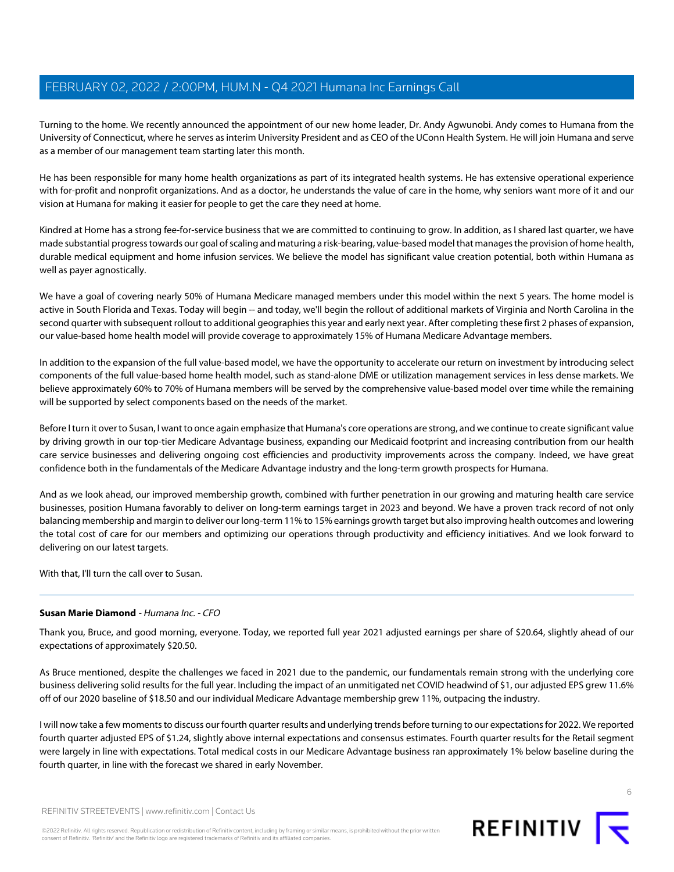Turning to the home. We recently announced the appointment of our new home leader, Dr. Andy Agwunobi. Andy comes to Humana from the University of Connecticut, where he serves as interim University President and as CEO of the UConn Health System. He will join Humana and serve as a member of our management team starting later this month.

He has been responsible for many home health organizations as part of its integrated health systems. He has extensive operational experience with for-profit and nonprofit organizations. And as a doctor, he understands the value of care in the home, why seniors want more of it and our vision at Humana for making it easier for people to get the care they need at home.

Kindred at Home has a strong fee-for-service business that we are committed to continuing to grow. In addition, as I shared last quarter, we have made substantial progress towards our goal of scaling and maturing a risk-bearing, value-based model that manages the provision of home health, durable medical equipment and home infusion services. We believe the model has significant value creation potential, both within Humana as well as payer agnostically.

We have a goal of covering nearly 50% of Humana Medicare managed members under this model within the next 5 years. The home model is active in South Florida and Texas. Today will begin -- and today, we'll begin the rollout of additional markets of Virginia and North Carolina in the second quarter with subsequent rollout to additional geographies this year and early next year. After completing these first 2 phases of expansion, our value-based home health model will provide coverage to approximately 15% of Humana Medicare Advantage members.

In addition to the expansion of the full value-based model, we have the opportunity to accelerate our return on investment by introducing select components of the full value-based home health model, such as stand-alone DME or utilization management services in less dense markets. We believe approximately 60% to 70% of Humana members will be served by the comprehensive value-based model over time while the remaining will be supported by select components based on the needs of the market.

Before I turn it over to Susan, I want to once again emphasize that Humana's core operations are strong, and we continue to create significant value by driving growth in our top-tier Medicare Advantage business, expanding our Medicaid footprint and increasing contribution from our health care service businesses and delivering ongoing cost efficiencies and productivity improvements across the company. Indeed, we have great confidence both in the fundamentals of the Medicare Advantage industry and the long-term growth prospects for Humana.

And as we look ahead, our improved membership growth, combined with further penetration in our growing and maturing health care service businesses, position Humana favorably to deliver on long-term earnings target in 2023 and beyond. We have a proven track record of not only balancing membership and margin to deliver our long-term 11% to 15% earnings growth target but also improving health outcomes and lowering the total cost of care for our members and optimizing our operations through productivity and efficiency initiatives. And we look forward to delivering on our latest targets.

<span id="page-5-0"></span>With that, I'll turn the call over to Susan.

# **Susan Marie Diamond** - Humana Inc. - CFO

Thank you, Bruce, and good morning, everyone. Today, we reported full year 2021 adjusted earnings per share of \$20.64, slightly ahead of our expectations of approximately \$20.50.

As Bruce mentioned, despite the challenges we faced in 2021 due to the pandemic, our fundamentals remain strong with the underlying core business delivering solid results for the full year. Including the impact of an unmitigated net COVID headwind of \$1, our adjusted EPS grew 11.6% off of our 2020 baseline of \$18.50 and our individual Medicare Advantage membership grew 11%, outpacing the industry.

I will now take a few moments to discuss our fourth quarter results and underlying trends before turning to our expectations for 2022. We reported fourth quarter adjusted EPS of \$1.24, slightly above internal expectations and consensus estimates. Fourth quarter results for the Retail segment were largely in line with expectations. Total medical costs in our Medicare Advantage business ran approximately 1% below baseline during the fourth quarter, in line with the forecast we shared in early November.

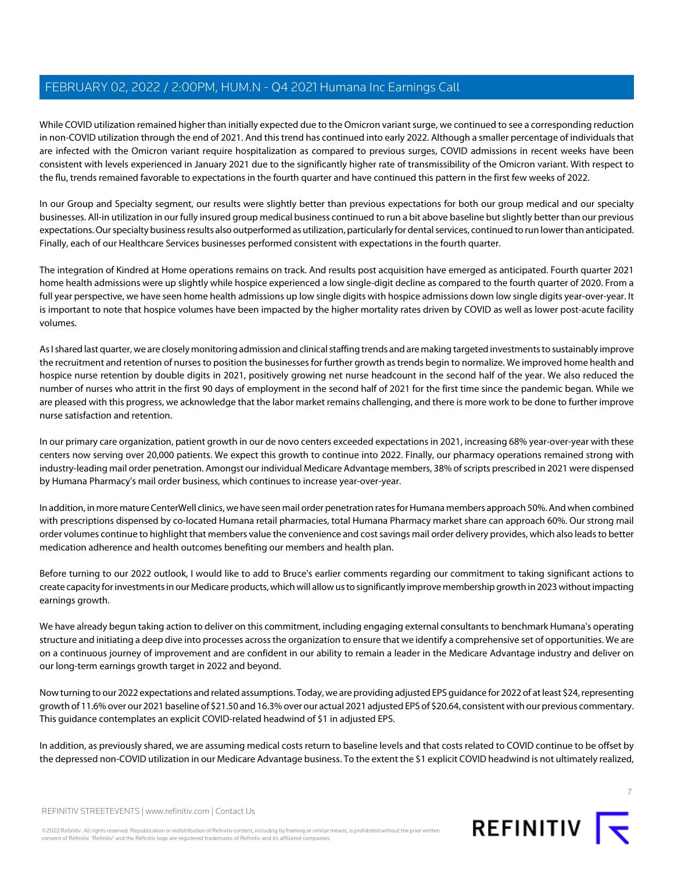While COVID utilization remained higher than initially expected due to the Omicron variant surge, we continued to see a corresponding reduction in non-COVID utilization through the end of 2021. And this trend has continued into early 2022. Although a smaller percentage of individuals that are infected with the Omicron variant require hospitalization as compared to previous surges, COVID admissions in recent weeks have been consistent with levels experienced in January 2021 due to the significantly higher rate of transmissibility of the Omicron variant. With respect to the flu, trends remained favorable to expectations in the fourth quarter and have continued this pattern in the first few weeks of 2022.

In our Group and Specialty segment, our results were slightly better than previous expectations for both our group medical and our specialty businesses. All-in utilization in our fully insured group medical business continued to run a bit above baseline but slightly better than our previous expectations. Our specialty business results also outperformed as utilization, particularly for dental services, continued to run lower than anticipated. Finally, each of our Healthcare Services businesses performed consistent with expectations in the fourth quarter.

The integration of Kindred at Home operations remains on track. And results post acquisition have emerged as anticipated. Fourth quarter 2021 home health admissions were up slightly while hospice experienced a low single-digit decline as compared to the fourth quarter of 2020. From a full year perspective, we have seen home health admissions up low single digits with hospice admissions down low single digits year-over-year. It is important to note that hospice volumes have been impacted by the higher mortality rates driven by COVID as well as lower post-acute facility volumes.

As I shared last quarter, we are closely monitoring admission and clinical staffing trends and are making targeted investments to sustainably improve the recruitment and retention of nurses to position the businesses for further growth as trends begin to normalize. We improved home health and hospice nurse retention by double digits in 2021, positively growing net nurse headcount in the second half of the year. We also reduced the number of nurses who attrit in the first 90 days of employment in the second half of 2021 for the first time since the pandemic began. While we are pleased with this progress, we acknowledge that the labor market remains challenging, and there is more work to be done to further improve nurse satisfaction and retention.

In our primary care organization, patient growth in our de novo centers exceeded expectations in 2021, increasing 68% year-over-year with these centers now serving over 20,000 patients. We expect this growth to continue into 2022. Finally, our pharmacy operations remained strong with industry-leading mail order penetration. Amongst our individual Medicare Advantage members, 38% of scripts prescribed in 2021 were dispensed by Humana Pharmacy's mail order business, which continues to increase year-over-year.

In addition, in more mature CenterWell clinics, we have seen mail order penetration rates for Humana members approach 50%. And when combined with prescriptions dispensed by co-located Humana retail pharmacies, total Humana Pharmacy market share can approach 60%. Our strong mail order volumes continue to highlight that members value the convenience and cost savings mail order delivery provides, which also leads to better medication adherence and health outcomes benefiting our members and health plan.

Before turning to our 2022 outlook, I would like to add to Bruce's earlier comments regarding our commitment to taking significant actions to create capacity for investments in our Medicare products, which will allow us to significantly improve membership growth in 2023 without impacting earnings growth.

We have already begun taking action to deliver on this commitment, including engaging external consultants to benchmark Humana's operating structure and initiating a deep dive into processes across the organization to ensure that we identify a comprehensive set of opportunities. We are on a continuous journey of improvement and are confident in our ability to remain a leader in the Medicare Advantage industry and deliver on our long-term earnings growth target in 2022 and beyond.

Now turning to our 2022 expectations and related assumptions. Today, we are providing adjusted EPS guidance for 2022 of at least \$24, representing growth of 11.6% over our 2021 baseline of \$21.50 and 16.3% over our actual 2021 adjusted EPS of \$20.64, consistent with our previous commentary. This guidance contemplates an explicit COVID-related headwind of \$1 in adjusted EPS.

In addition, as previously shared, we are assuming medical costs return to baseline levels and that costs related to COVID continue to be offset by the depressed non-COVID utilization in our Medicare Advantage business. To the extent the \$1 explicit COVID headwind is not ultimately realized,



7

REFINITIV STREETEVENTS | [www.refinitiv.com](https://www.refinitiv.com/) | [Contact Us](https://www.refinitiv.com/en/contact-us)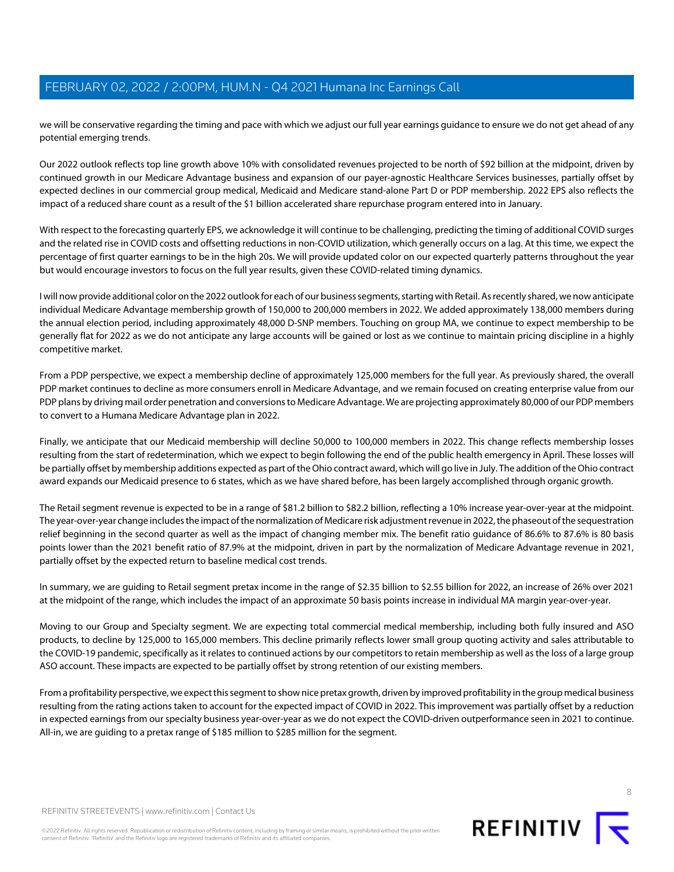we will be conservative regarding the timing and pace with which we adjust our full year earnings guidance to ensure we do not get ahead of any potential emerging trends.

Our 2022 outlook reflects top line growth above 10% with consolidated revenues projected to be north of \$92 billion at the midpoint, driven by continued growth in our Medicare Advantage business and expansion of our payer-agnostic Healthcare Services businesses, partially offset by expected declines in our commercial group medical, Medicaid and Medicare stand-alone Part D or PDP membership. 2022 EPS also reflects the impact of a reduced share count as a result of the \$1 billion accelerated share repurchase program entered into in January.

With respect to the forecasting quarterly EPS, we acknowledge it will continue to be challenging, predicting the timing of additional COVID surges and the related rise in COVID costs and offsetting reductions in non-COVID utilization, which generally occurs on a lag. At this time, we expect the percentage of first quarter earnings to be in the high 20s. We will provide updated color on our expected quarterly patterns throughout the year but would encourage investors to focus on the full year results, given these COVID-related timing dynamics.

I will now provide additional color on the 2022 outlook for each of our business segments, starting with Retail. As recently shared, we now anticipate individual Medicare Advantage membership growth of 150,000 to 200,000 members in 2022. We added approximately 138,000 members during the annual election period, including approximately 48,000 D-SNP members. Touching on group MA, we continue to expect membership to be generally flat for 2022 as we do not anticipate any large accounts will be gained or lost as we continue to maintain pricing discipline in a highly competitive market.

From a PDP perspective, we expect a membership decline of approximately 125,000 members for the full year. As previously shared, the overall PDP market continues to decline as more consumers enroll in Medicare Advantage, and we remain focused on creating enterprise value from our PDP plans by driving mail order penetration and conversions to Medicare Advantage. We are projecting approximately 80,000 of our PDP members to convert to a Humana Medicare Advantage plan in 2022.

Finally, we anticipate that our Medicaid membership will decline 50,000 to 100,000 members in 2022. This change reflects membership losses resulting from the start of redetermination, which we expect to begin following the end of the public health emergency in April. These losses will be partially offset by membership additions expected as part of the Ohio contract award, which will go live in July. The addition of the Ohio contract award expands our Medicaid presence to 6 states, which as we have shared before, has been largely accomplished through organic growth.

The Retail segment revenue is expected to be in a range of \$81.2 billion to \$82.2 billion, reflecting a 10% increase year-over-year at the midpoint. The year-over-year change includes the impact of the normalization of Medicare risk adjustment revenue in 2022, the phaseout of the sequestration relief beginning in the second quarter as well as the impact of changing member mix. The benefit ratio guidance of 86.6% to 87.6% is 80 basis points lower than the 2021 benefit ratio of 87.9% at the midpoint, driven in part by the normalization of Medicare Advantage revenue in 2021, partially offset by the expected return to baseline medical cost trends.

In summary, we are guiding to Retail segment pretax income in the range of \$2.35 billion to \$2.55 billion for 2022, an increase of 26% over 2021 at the midpoint of the range, which includes the impact of an approximate 50 basis points increase in individual MA margin year-over-year.

Moving to our Group and Specialty segment. We are expecting total commercial medical membership, including both fully insured and ASO products, to decline by 125,000 to 165,000 members. This decline primarily reflects lower small group quoting activity and sales attributable to the COVID-19 pandemic, specifically as it relates to continued actions by our competitors to retain membership as well as the loss of a large group ASO account. These impacts are expected to be partially offset by strong retention of our existing members.

From a profitability perspective, we expect this segment to show nice pretax growth, driven by improved profitability in the group medical business resulting from the rating actions taken to account for the expected impact of COVID in 2022. This improvement was partially offset by a reduction in expected earnings from our specialty business year-over-year as we do not expect the COVID-driven outperformance seen in 2021 to continue. All-in, we are guiding to a pretax range of \$185 million to \$285 million for the segment.

©2022 Refinitiv. All rights reserved. Republication or redistribution of Refinitiv content, including by framing or similar means, is prohibited without the prior written consent of Refinitiv. 'Refinitiv' and the Refinitiv logo are registered trademarks of Refinitiv and its affiliated companies.

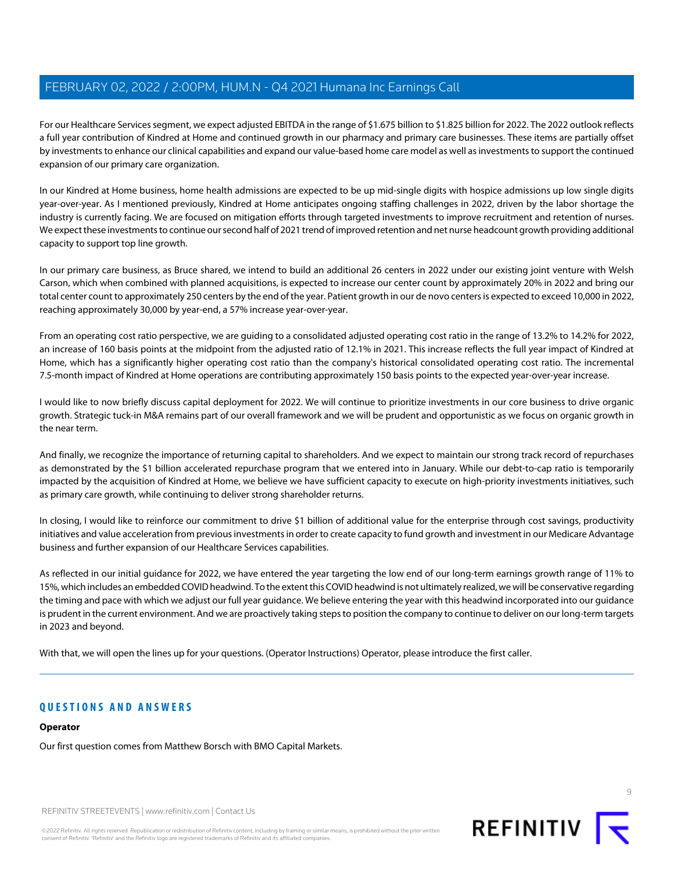For our Healthcare Services segment, we expect adjusted EBITDA in the range of \$1.675 billion to \$1.825 billion for 2022. The 2022 outlook reflects a full year contribution of Kindred at Home and continued growth in our pharmacy and primary care businesses. These items are partially offset by investments to enhance our clinical capabilities and expand our value-based home care model as well as investments to support the continued expansion of our primary care organization.

In our Kindred at Home business, home health admissions are expected to be up mid-single digits with hospice admissions up low single digits year-over-year. As I mentioned previously, Kindred at Home anticipates ongoing staffing challenges in 2022, driven by the labor shortage the industry is currently facing. We are focused on mitigation efforts through targeted investments to improve recruitment and retention of nurses. We expect these investments to continue our second half of 2021 trend of improved retention and net nurse headcount growth providing additional capacity to support top line growth.

In our primary care business, as Bruce shared, we intend to build an additional 26 centers in 2022 under our existing joint venture with Welsh Carson, which when combined with planned acquisitions, is expected to increase our center count by approximately 20% in 2022 and bring our total center count to approximately 250 centers by the end of the year. Patient growth in our de novo centers is expected to exceed 10,000 in 2022, reaching approximately 30,000 by year-end, a 57% increase year-over-year.

From an operating cost ratio perspective, we are guiding to a consolidated adjusted operating cost ratio in the range of 13.2% to 14.2% for 2022, an increase of 160 basis points at the midpoint from the adjusted ratio of 12.1% in 2021. This increase reflects the full year impact of Kindred at Home, which has a significantly higher operating cost ratio than the company's historical consolidated operating cost ratio. The incremental 7.5-month impact of Kindred at Home operations are contributing approximately 150 basis points to the expected year-over-year increase.

I would like to now briefly discuss capital deployment for 2022. We will continue to prioritize investments in our core business to drive organic growth. Strategic tuck-in M&A remains part of our overall framework and we will be prudent and opportunistic as we focus on organic growth in the near term.

And finally, we recognize the importance of returning capital to shareholders. And we expect to maintain our strong track record of repurchases as demonstrated by the \$1 billion accelerated repurchase program that we entered into in January. While our debt-to-cap ratio is temporarily impacted by the acquisition of Kindred at Home, we believe we have sufficient capacity to execute on high-priority investments initiatives, such as primary care growth, while continuing to deliver strong shareholder returns.

In closing, I would like to reinforce our commitment to drive \$1 billion of additional value for the enterprise through cost savings, productivity initiatives and value acceleration from previous investments in order to create capacity to fund growth and investment in our Medicare Advantage business and further expansion of our Healthcare Services capabilities.

As reflected in our initial guidance for 2022, we have entered the year targeting the low end of our long-term earnings growth range of 11% to 15%, which includes an embedded COVID headwind. To the extent this COVID headwind is not ultimately realized, we will be conservative regarding the timing and pace with which we adjust our full year guidance. We believe entering the year with this headwind incorporated into our guidance is prudent in the current environment. And we are proactively taking steps to position the company to continue to deliver on our long-term targets in 2023 and beyond.

With that, we will open the lines up for your questions. (Operator Instructions) Operator, please introduce the first caller.

# **QUESTIONS AND ANSWERS**

# **Operator**

Our first question comes from Matthew Borsch with BMO Capital Markets.

REFINITIV STREETEVENTS | [www.refinitiv.com](https://www.refinitiv.com/) | [Contact Us](https://www.refinitiv.com/en/contact-us)

©2022 Refinitiv. All rights reserved. Republication or redistribution of Refinitiv content, including by framing or similar means, is prohibited without the prior written consent of Refinitiv. 'Refinitiv' and the Refinitiv logo are registered trademarks of Refinitiv and its affiliated companies.



 $\Omega$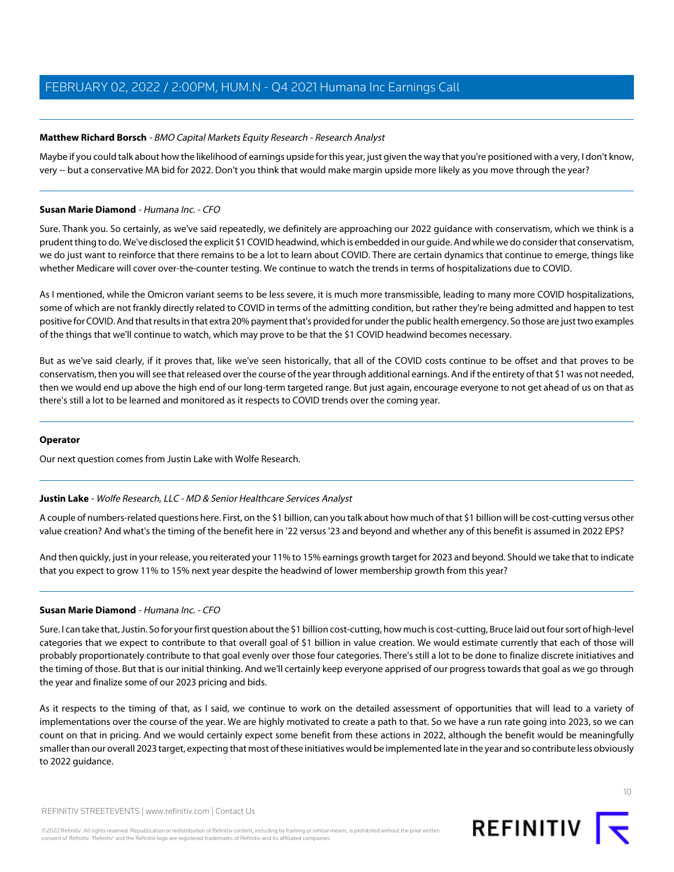# <span id="page-9-1"></span>**Matthew Richard Borsch** - BMO Capital Markets Equity Research - Research Analyst

Maybe if you could talk about how the likelihood of earnings upside for this year, just given the way that you're positioned with a very, I don't know, very -- but a conservative MA bid for 2022. Don't you think that would make margin upside more likely as you move through the year?

### **Susan Marie Diamond** - Humana Inc. - CFO

Sure. Thank you. So certainly, as we've said repeatedly, we definitely are approaching our 2022 guidance with conservatism, which we think is a prudent thing to do. We've disclosed the explicit \$1 COVID headwind, which is embedded in our guide. And while we do consider that conservatism, we do just want to reinforce that there remains to be a lot to learn about COVID. There are certain dynamics that continue to emerge, things like whether Medicare will cover over-the-counter testing. We continue to watch the trends in terms of hospitalizations due to COVID.

As I mentioned, while the Omicron variant seems to be less severe, it is much more transmissible, leading to many more COVID hospitalizations, some of which are not frankly directly related to COVID in terms of the admitting condition, but rather they're being admitted and happen to test positive for COVID. And that results in that extra 20% payment that's provided for under the public health emergency. So those are just two examples of the things that we'll continue to watch, which may prove to be that the \$1 COVID headwind becomes necessary.

But as we've said clearly, if it proves that, like we've seen historically, that all of the COVID costs continue to be offset and that proves to be conservatism, then you will see that released over the course of the year through additional earnings. And if the entirety of that \$1 was not needed, then we would end up above the high end of our long-term targeted range. But just again, encourage everyone to not get ahead of us on that as there's still a lot to be learned and monitored as it respects to COVID trends over the coming year.

# **Operator**

<span id="page-9-0"></span>Our next question comes from Justin Lake with Wolfe Research.

# **Justin Lake** - Wolfe Research, LLC - MD & Senior Healthcare Services Analyst

A couple of numbers-related questions here. First, on the \$1 billion, can you talk about how much of that \$1 billion will be cost-cutting versus other value creation? And what's the timing of the benefit here in '22 versus '23 and beyond and whether any of this benefit is assumed in 2022 EPS?

And then quickly, just in your release, you reiterated your 11% to 15% earnings growth target for 2023 and beyond. Should we take that to indicate that you expect to grow 11% to 15% next year despite the headwind of lower membership growth from this year?

# **Susan Marie Diamond** - Humana Inc. - CFO

Sure. I can take that, Justin. So for your first question about the \$1 billion cost-cutting, how much is cost-cutting, Bruce laid out four sort of high-level categories that we expect to contribute to that overall goal of \$1 billion in value creation. We would estimate currently that each of those will probably proportionately contribute to that goal evenly over those four categories. There's still a lot to be done to finalize discrete initiatives and the timing of those. But that is our initial thinking. And we'll certainly keep everyone apprised of our progress towards that goal as we go through the year and finalize some of our 2023 pricing and bids.

As it respects to the timing of that, as I said, we continue to work on the detailed assessment of opportunities that will lead to a variety of implementations over the course of the year. We are highly motivated to create a path to that. So we have a run rate going into 2023, so we can count on that in pricing. And we would certainly expect some benefit from these actions in 2022, although the benefit would be meaningfully smaller than our overall 2023 target, expecting that most of these initiatives would be implemented late in the year and so contribute less obviously to 2022 guidance.



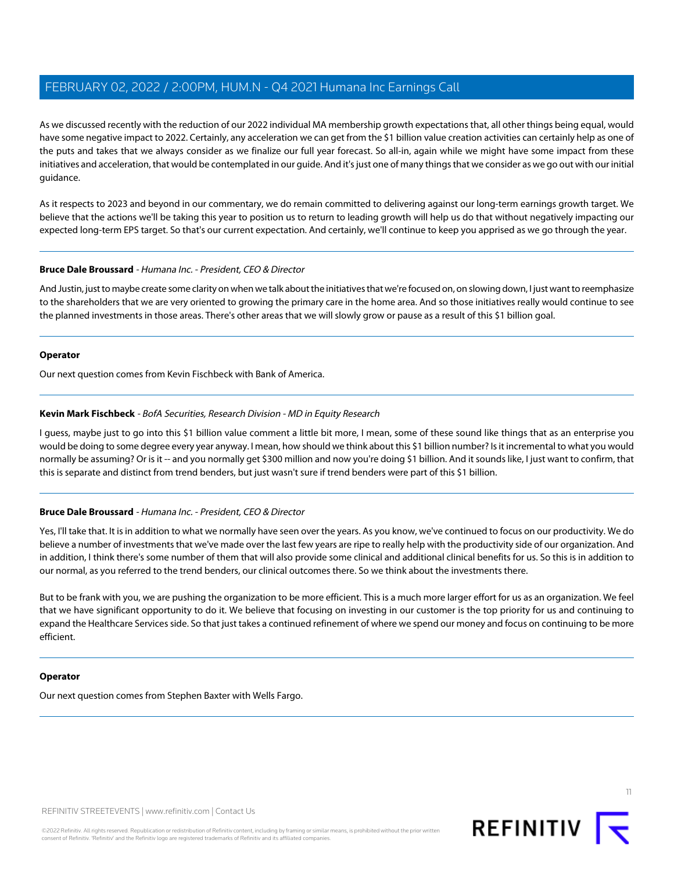As we discussed recently with the reduction of our 2022 individual MA membership growth expectations that, all other things being equal, would have some negative impact to 2022. Certainly, any acceleration we can get from the \$1 billion value creation activities can certainly help as one of the puts and takes that we always consider as we finalize our full year forecast. So all-in, again while we might have some impact from these initiatives and acceleration, that would be contemplated in our guide. And it's just one of many things that we consider as we go out with our initial guidance.

As it respects to 2023 and beyond in our commentary, we do remain committed to delivering against our long-term earnings growth target. We believe that the actions we'll be taking this year to position us to return to leading growth will help us do that without negatively impacting our expected long-term EPS target. So that's our current expectation. And certainly, we'll continue to keep you apprised as we go through the year.

# **Bruce Dale Broussard** - Humana Inc. - President, CEO & Director

And Justin, just to maybe create some clarity on when we talk about the initiatives that we're focused on, on slowing down, I just want to reemphasize to the shareholders that we are very oriented to growing the primary care in the home area. And so those initiatives really would continue to see the planned investments in those areas. There's other areas that we will slowly grow or pause as a result of this \$1 billion goal.

#### **Operator**

<span id="page-10-0"></span>Our next question comes from Kevin Fischbeck with Bank of America.

# **Kevin Mark Fischbeck** - BofA Securities, Research Division - MD in Equity Research

I guess, maybe just to go into this \$1 billion value comment a little bit more, I mean, some of these sound like things that as an enterprise you would be doing to some degree every year anyway. I mean, how should we think about this \$1 billion number? Is it incremental to what you would normally be assuming? Or is it -- and you normally get \$300 million and now you're doing \$1 billion. And it sounds like, I just want to confirm, that this is separate and distinct from trend benders, but just wasn't sure if trend benders were part of this \$1 billion.

# **Bruce Dale Broussard** - Humana Inc. - President, CEO & Director

Yes, I'll take that. It is in addition to what we normally have seen over the years. As you know, we've continued to focus on our productivity. We do believe a number of investments that we've made over the last few years are ripe to really help with the productivity side of our organization. And in addition, I think there's some number of them that will also provide some clinical and additional clinical benefits for us. So this is in addition to our normal, as you referred to the trend benders, our clinical outcomes there. So we think about the investments there.

But to be frank with you, we are pushing the organization to be more efficient. This is a much more larger effort for us as an organization. We feel that we have significant opportunity to do it. We believe that focusing on investing in our customer is the top priority for us and continuing to expand the Healthcare Services side. So that just takes a continued refinement of where we spend our money and focus on continuing to be more efficient.

#### **Operator**

Our next question comes from Stephen Baxter with Wells Fargo.

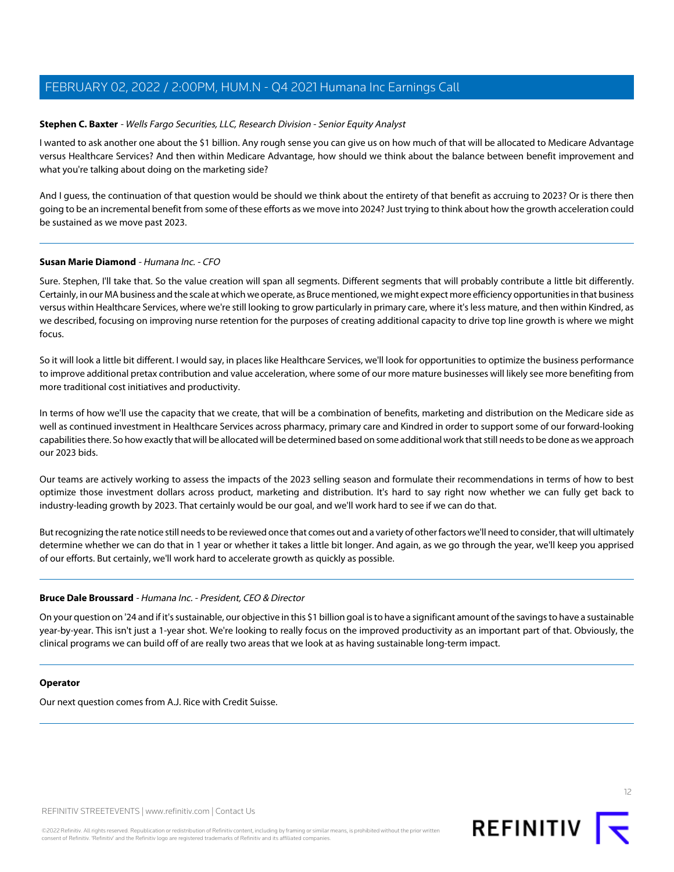# <span id="page-11-0"></span>**Stephen C. Baxter** - Wells Fargo Securities, LLC, Research Division - Senior Equity Analyst

I wanted to ask another one about the \$1 billion. Any rough sense you can give us on how much of that will be allocated to Medicare Advantage versus Healthcare Services? And then within Medicare Advantage, how should we think about the balance between benefit improvement and what you're talking about doing on the marketing side?

And I guess, the continuation of that question would be should we think about the entirety of that benefit as accruing to 2023? Or is there then going to be an incremental benefit from some of these efforts as we move into 2024? Just trying to think about how the growth acceleration could be sustained as we move past 2023.

#### **Susan Marie Diamond** - Humana Inc. - CFO

Sure. Stephen, I'll take that. So the value creation will span all segments. Different segments that will probably contribute a little bit differently. Certainly, in our MA business and the scale at which we operate, as Bruce mentioned, we might expect more efficiency opportunities in that business versus within Healthcare Services, where we're still looking to grow particularly in primary care, where it's less mature, and then within Kindred, as we described, focusing on improving nurse retention for the purposes of creating additional capacity to drive top line growth is where we might focus.

So it will look a little bit different. I would say, in places like Healthcare Services, we'll look for opportunities to optimize the business performance to improve additional pretax contribution and value acceleration, where some of our more mature businesses will likely see more benefiting from more traditional cost initiatives and productivity.

In terms of how we'll use the capacity that we create, that will be a combination of benefits, marketing and distribution on the Medicare side as well as continued investment in Healthcare Services across pharmacy, primary care and Kindred in order to support some of our forward-looking capabilities there. So how exactly that will be allocated will be determined based on some additional work that still needs to be done as we approach our 2023 bids.

Our teams are actively working to assess the impacts of the 2023 selling season and formulate their recommendations in terms of how to best optimize those investment dollars across product, marketing and distribution. It's hard to say right now whether we can fully get back to industry-leading growth by 2023. That certainly would be our goal, and we'll work hard to see if we can do that.

But recognizing the rate notice still needs to be reviewed once that comes out and a variety of other factors we'll need to consider, that will ultimately determine whether we can do that in 1 year or whether it takes a little bit longer. And again, as we go through the year, we'll keep you apprised of our efforts. But certainly, we'll work hard to accelerate growth as quickly as possible.

# **Bruce Dale Broussard** - Humana Inc. - President, CEO & Director

On your question on '24 and if it's sustainable, our objective in this \$1 billion goal is to have a significant amount of the savings to have a sustainable year-by-year. This isn't just a 1-year shot. We're looking to really focus on the improved productivity as an important part of that. Obviously, the clinical programs we can build off of are really two areas that we look at as having sustainable long-term impact.

#### **Operator**

Our next question comes from A.J. Rice with Credit Suisse.

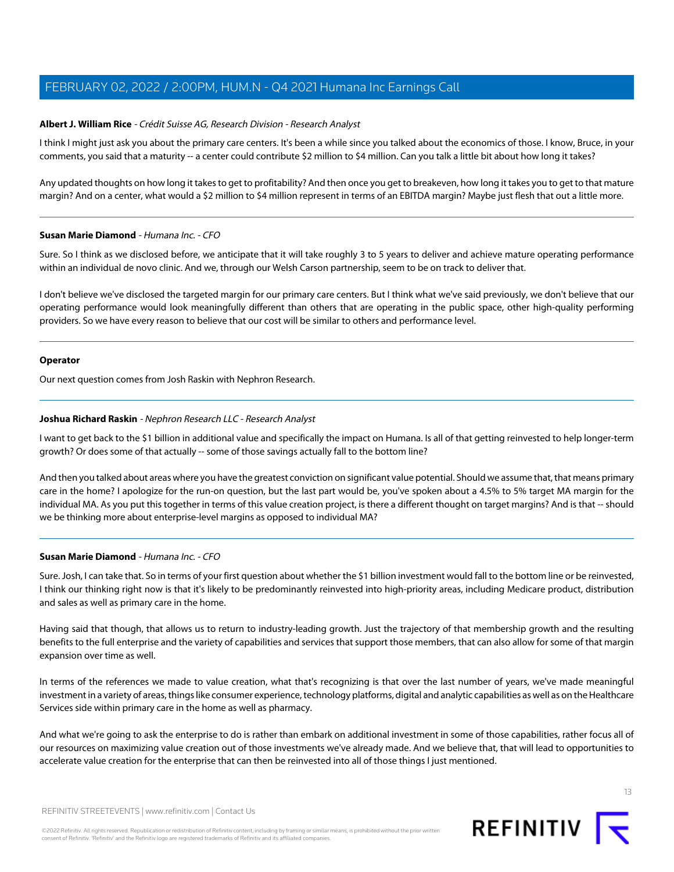# <span id="page-12-0"></span>**Albert J. William Rice** - Crédit Suisse AG, Research Division - Research Analyst

I think I might just ask you about the primary care centers. It's been a while since you talked about the economics of those. I know, Bruce, in your comments, you said that a maturity -- a center could contribute \$2 million to \$4 million. Can you talk a little bit about how long it takes?

Any updated thoughts on how long it takes to get to profitability? And then once you get to breakeven, how long it takes you to get to that mature margin? And on a center, what would a \$2 million to \$4 million represent in terms of an EBITDA margin? Maybe just flesh that out a little more.

#### **Susan Marie Diamond** - Humana Inc. - CFO

Sure. So I think as we disclosed before, we anticipate that it will take roughly 3 to 5 years to deliver and achieve mature operating performance within an individual de novo clinic. And we, through our Welsh Carson partnership, seem to be on track to deliver that.

I don't believe we've disclosed the targeted margin for our primary care centers. But I think what we've said previously, we don't believe that our operating performance would look meaningfully different than others that are operating in the public space, other high-quality performing providers. So we have every reason to believe that our cost will be similar to others and performance level.

# **Operator**

<span id="page-12-1"></span>Our next question comes from Josh Raskin with Nephron Research.

# **Joshua Richard Raskin** - Nephron Research LLC - Research Analyst

I want to get back to the \$1 billion in additional value and specifically the impact on Humana. Is all of that getting reinvested to help longer-term growth? Or does some of that actually -- some of those savings actually fall to the bottom line?

And then you talked about areas where you have the greatest conviction on significant value potential. Should we assume that, that means primary care in the home? I apologize for the run-on question, but the last part would be, you've spoken about a 4.5% to 5% target MA margin for the individual MA. As you put this together in terms of this value creation project, is there a different thought on target margins? And is that -- should we be thinking more about enterprise-level margins as opposed to individual MA?

# **Susan Marie Diamond** - Humana Inc. - CFO

Sure. Josh, I can take that. So in terms of your first question about whether the \$1 billion investment would fall to the bottom line or be reinvested, I think our thinking right now is that it's likely to be predominantly reinvested into high-priority areas, including Medicare product, distribution and sales as well as primary care in the home.

Having said that though, that allows us to return to industry-leading growth. Just the trajectory of that membership growth and the resulting benefits to the full enterprise and the variety of capabilities and services that support those members, that can also allow for some of that margin expansion over time as well.

In terms of the references we made to value creation, what that's recognizing is that over the last number of years, we've made meaningful investment in a variety of areas, things like consumer experience, technology platforms, digital and analytic capabilities as well as on the Healthcare Services side within primary care in the home as well as pharmacy.

And what we're going to ask the enterprise to do is rather than embark on additional investment in some of those capabilities, rather focus all of our resources on maximizing value creation out of those investments we've already made. And we believe that, that will lead to opportunities to accelerate value creation for the enterprise that can then be reinvested into all of those things I just mentioned.

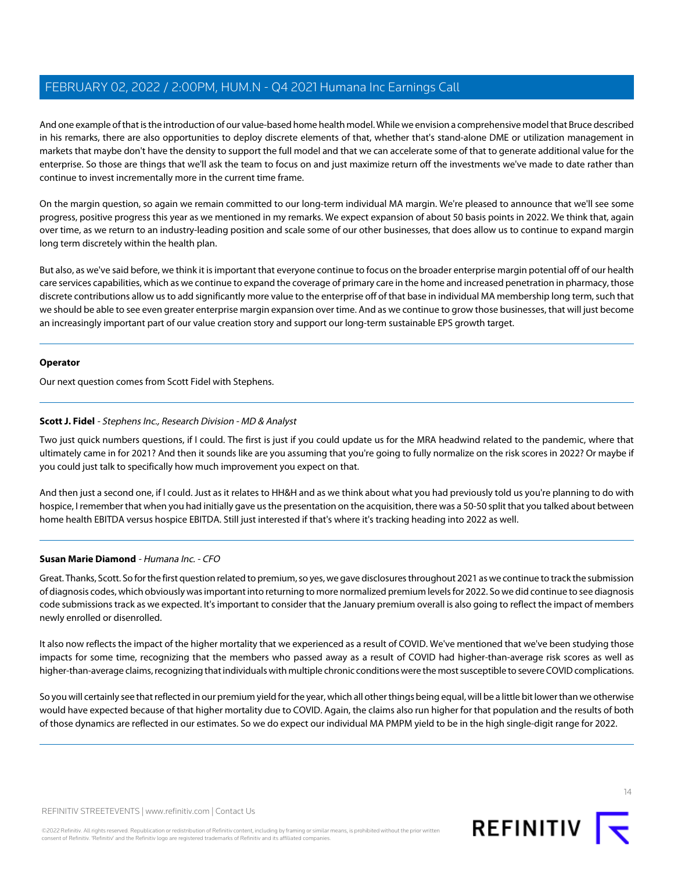And one example of that is the introduction of our value-based home health model. While we envision a comprehensive model that Bruce described in his remarks, there are also opportunities to deploy discrete elements of that, whether that's stand-alone DME or utilization management in markets that maybe don't have the density to support the full model and that we can accelerate some of that to generate additional value for the enterprise. So those are things that we'll ask the team to focus on and just maximize return off the investments we've made to date rather than continue to invest incrementally more in the current time frame.

On the margin question, so again we remain committed to our long-term individual MA margin. We're pleased to announce that we'll see some progress, positive progress this year as we mentioned in my remarks. We expect expansion of about 50 basis points in 2022. We think that, again over time, as we return to an industry-leading position and scale some of our other businesses, that does allow us to continue to expand margin long term discretely within the health plan.

But also, as we've said before, we think it is important that everyone continue to focus on the broader enterprise margin potential off of our health care services capabilities, which as we continue to expand the coverage of primary care in the home and increased penetration in pharmacy, those discrete contributions allow us to add significantly more value to the enterprise off of that base in individual MA membership long term, such that we should be able to see even greater enterprise margin expansion over time. And as we continue to grow those businesses, that will just become an increasingly important part of our value creation story and support our long-term sustainable EPS growth target.

#### **Operator**

<span id="page-13-0"></span>Our next question comes from Scott Fidel with Stephens.

# **Scott J. Fidel** - Stephens Inc., Research Division - MD & Analyst

Two just quick numbers questions, if I could. The first is just if you could update us for the MRA headwind related to the pandemic, where that ultimately came in for 2021? And then it sounds like are you assuming that you're going to fully normalize on the risk scores in 2022? Or maybe if you could just talk to specifically how much improvement you expect on that.

And then just a second one, if I could. Just as it relates to HH&H and as we think about what you had previously told us you're planning to do with hospice, I remember that when you had initially gave us the presentation on the acquisition, there was a 50-50 split that you talked about between home health EBITDA versus hospice EBITDA. Still just interested if that's where it's tracking heading into 2022 as well.

# **Susan Marie Diamond** - Humana Inc. - CFO

Great. Thanks, Scott. So for the first question related to premium, so yes, we gave disclosures throughout 2021 as we continue to track the submission of diagnosis codes, which obviously was important into returning to more normalized premium levels for 2022. So we did continue to see diagnosis code submissions track as we expected. It's important to consider that the January premium overall is also going to reflect the impact of members newly enrolled or disenrolled.

It also now reflects the impact of the higher mortality that we experienced as a result of COVID. We've mentioned that we've been studying those impacts for some time, recognizing that the members who passed away as a result of COVID had higher-than-average risk scores as well as higher-than-average claims, recognizing that individuals with multiple chronic conditions were the most susceptible to severe COVID complications.

So you will certainly see that reflected in our premium yield for the year, which all other things being equal, will be a little bit lower than we otherwise would have expected because of that higher mortality due to COVID. Again, the claims also run higher for that population and the results of both of those dynamics are reflected in our estimates. So we do expect our individual MA PMPM yield to be in the high single-digit range for 2022.

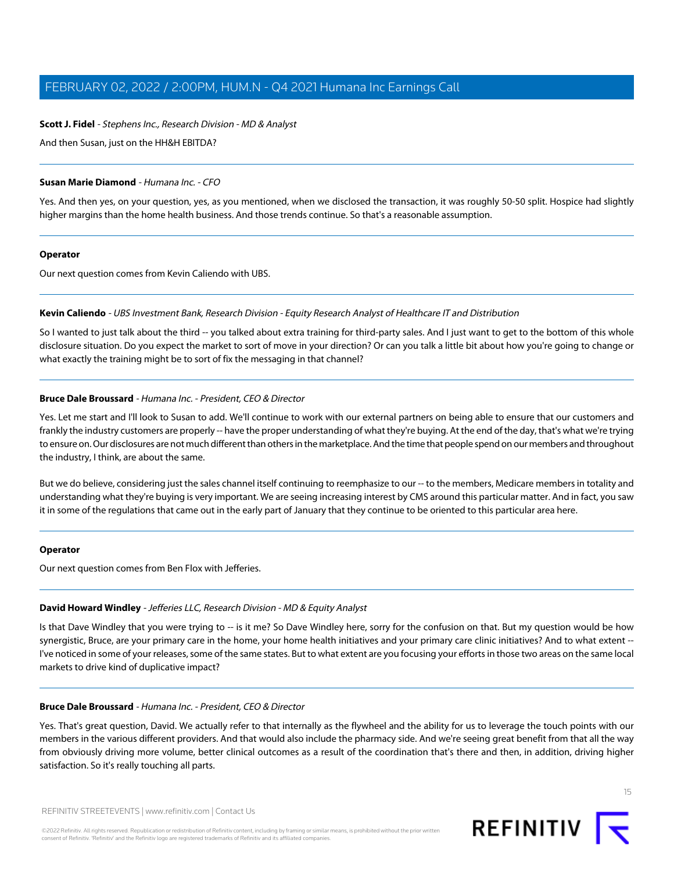#### **Scott J. Fidel** - Stephens Inc., Research Division - MD & Analyst

And then Susan, just on the HH&H EBITDA?

#### **Susan Marie Diamond** - Humana Inc. - CFO

Yes. And then yes, on your question, yes, as you mentioned, when we disclosed the transaction, it was roughly 50-50 split. Hospice had slightly higher margins than the home health business. And those trends continue. So that's a reasonable assumption.

#### **Operator**

<span id="page-14-1"></span>Our next question comes from Kevin Caliendo with UBS.

#### **Kevin Caliendo** - UBS Investment Bank, Research Division - Equity Research Analyst of Healthcare IT and Distribution

So I wanted to just talk about the third -- you talked about extra training for third-party sales. And I just want to get to the bottom of this whole disclosure situation. Do you expect the market to sort of move in your direction? Or can you talk a little bit about how you're going to change or what exactly the training might be to sort of fix the messaging in that channel?

#### **Bruce Dale Broussard** - Humana Inc. - President, CEO & Director

Yes. Let me start and I'll look to Susan to add. We'll continue to work with our external partners on being able to ensure that our customers and frankly the industry customers are properly -- have the proper understanding of what they're buying. At the end of the day, that's what we're trying to ensure on. Our disclosures are not much different than others in the marketplace. And the time that people spend on our members and throughout the industry, I think, are about the same.

But we do believe, considering just the sales channel itself continuing to reemphasize to our -- to the members, Medicare members in totality and understanding what they're buying is very important. We are seeing increasing interest by CMS around this particular matter. And in fact, you saw it in some of the regulations that came out in the early part of January that they continue to be oriented to this particular area here.

#### <span id="page-14-0"></span>**Operator**

Our next question comes from Ben Flox with Jefferies.

# **David Howard Windley** - Jefferies LLC, Research Division - MD & Equity Analyst

Is that Dave Windley that you were trying to -- is it me? So Dave Windley here, sorry for the confusion on that. But my question would be how synergistic, Bruce, are your primary care in the home, your home health initiatives and your primary care clinic initiatives? And to what extent --I've noticed in some of your releases, some of the same states. But to what extent are you focusing your efforts in those two areas on the same local markets to drive kind of duplicative impact?

#### **Bruce Dale Broussard** - Humana Inc. - President, CEO & Director

Yes. That's great question, David. We actually refer to that internally as the flywheel and the ability for us to leverage the touch points with our members in the various different providers. And that would also include the pharmacy side. And we're seeing great benefit from that all the way from obviously driving more volume, better clinical outcomes as a result of the coordination that's there and then, in addition, driving higher satisfaction. So it's really touching all parts.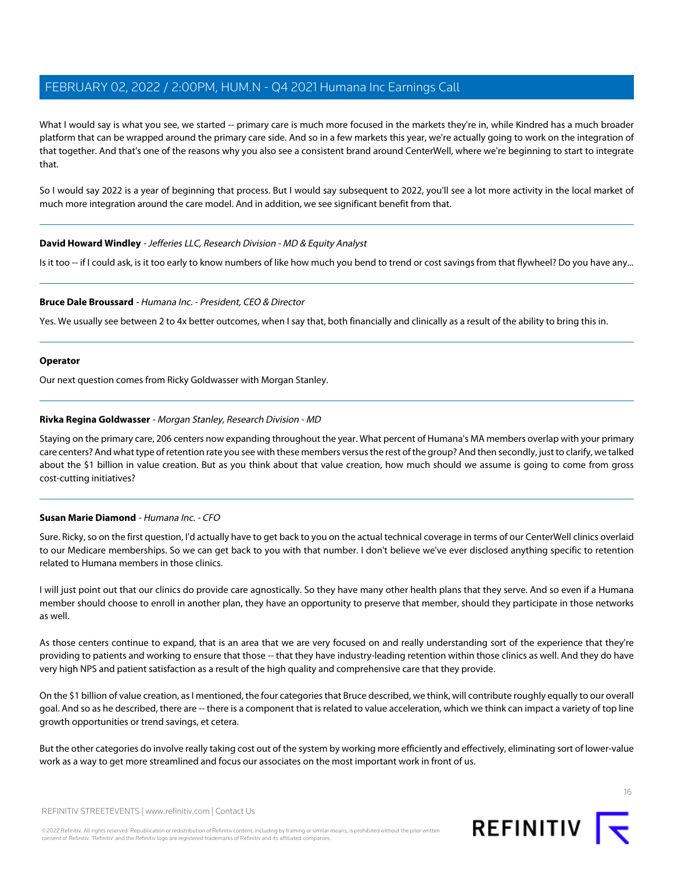What I would say is what you see, we started -- primary care is much more focused in the markets they're in, while Kindred has a much broader platform that can be wrapped around the primary care side. And so in a few markets this year, we're actually going to work on the integration of that together. And that's one of the reasons why you also see a consistent brand around CenterWell, where we're beginning to start to integrate that.

So I would say 2022 is a year of beginning that process. But I would say subsequent to 2022, you'll see a lot more activity in the local market of much more integration around the care model. And in addition, we see significant benefit from that.

# **David Howard Windley** - Jefferies LLC, Research Division - MD & Equity Analyst

Is it too -- if I could ask, is it too early to know numbers of like how much you bend to trend or cost savings from that flywheel? Do you have any...

#### **Bruce Dale Broussard** - Humana Inc. - President, CEO & Director

Yes. We usually see between 2 to 4x better outcomes, when I say that, both financially and clinically as a result of the ability to bring this in.

#### **Operator**

<span id="page-15-0"></span>Our next question comes from Ricky Goldwasser with Morgan Stanley.

#### **Rivka Regina Goldwasser** - Morgan Stanley, Research Division - MD

Staying on the primary care, 206 centers now expanding throughout the year. What percent of Humana's MA members overlap with your primary care centers? And what type of retention rate you see with these members versus the rest of the group? And then secondly, just to clarify, we talked about the \$1 billion in value creation. But as you think about that value creation, how much should we assume is going to come from gross cost-cutting initiatives?

#### **Susan Marie Diamond** - Humana Inc. - CFO

Sure. Ricky, so on the first question, I'd actually have to get back to you on the actual technical coverage in terms of our CenterWell clinics overlaid to our Medicare memberships. So we can get back to you with that number. I don't believe we've ever disclosed anything specific to retention related to Humana members in those clinics.

I will just point out that our clinics do provide care agnostically. So they have many other health plans that they serve. And so even if a Humana member should choose to enroll in another plan, they have an opportunity to preserve that member, should they participate in those networks as well.

As those centers continue to expand, that is an area that we are very focused on and really understanding sort of the experience that they're providing to patients and working to ensure that those -- that they have industry-leading retention within those clinics as well. And they do have very high NPS and patient satisfaction as a result of the high quality and comprehensive care that they provide.

On the \$1 billion of value creation, as I mentioned, the four categories that Bruce described, we think, will contribute roughly equally to our overall goal. And so as he described, there are -- there is a component that is related to value acceleration, which we think can impact a variety of top line growth opportunities or trend savings, et cetera.

But the other categories do involve really taking cost out of the system by working more efficiently and effectively, eliminating sort of lower-value work as a way to get more streamlined and focus our associates on the most important work in front of us.



REFINITIV STREETEVENTS | [www.refinitiv.com](https://www.refinitiv.com/) | [Contact Us](https://www.refinitiv.com/en/contact-us)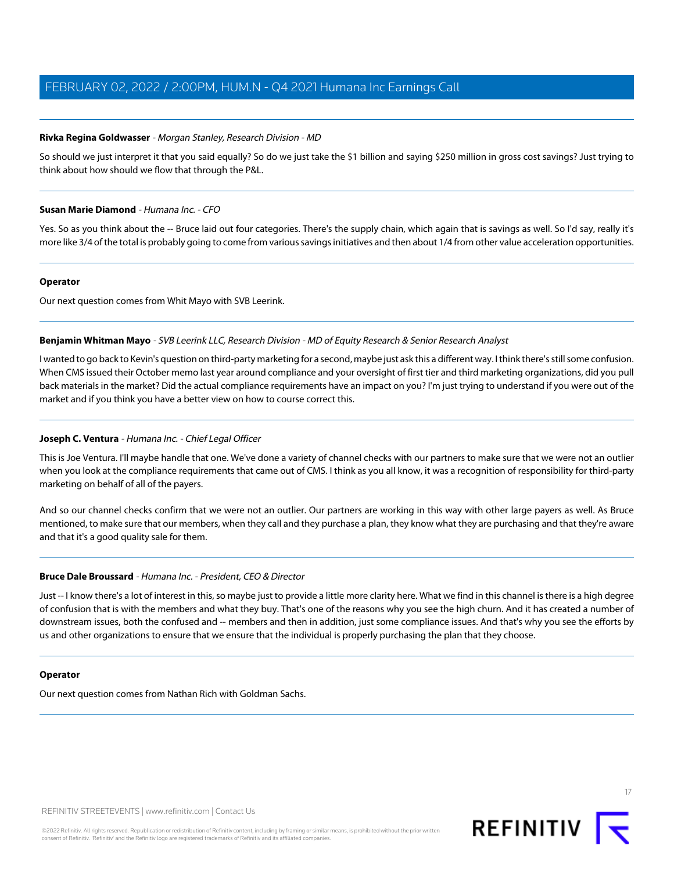# **Rivka Regina Goldwasser** - Morgan Stanley, Research Division - MD

So should we just interpret it that you said equally? So do we just take the \$1 billion and saying \$250 million in gross cost savings? Just trying to think about how should we flow that through the P&L.

# **Susan Marie Diamond** - Humana Inc. - CFO

Yes. So as you think about the -- Bruce laid out four categories. There's the supply chain, which again that is savings as well. So I'd say, really it's more like 3/4 of the total is probably going to come from various savings initiatives and then about 1/4 from other value acceleration opportunities.

#### **Operator**

<span id="page-16-1"></span>Our next question comes from Whit Mayo with SVB Leerink.

# **Benjamin Whitman Mayo** - SVB Leerink LLC, Research Division - MD of Equity Research & Senior Research Analyst

<span id="page-16-0"></span>I wanted to go back to Kevin's question on third-party marketing for a second, maybe just ask this a different way. I think there's still some confusion. When CMS issued their October memo last year around compliance and your oversight of first tier and third marketing organizations, did you pull back materials in the market? Did the actual compliance requirements have an impact on you? I'm just trying to understand if you were out of the market and if you think you have a better view on how to course correct this.

# **Joseph C. Ventura** - Humana Inc. - Chief Legal Officer

This is Joe Ventura. I'll maybe handle that one. We've done a variety of channel checks with our partners to make sure that we were not an outlier when you look at the compliance requirements that came out of CMS. I think as you all know, it was a recognition of responsibility for third-party marketing on behalf of all of the payers.

And so our channel checks confirm that we were not an outlier. Our partners are working in this way with other large payers as well. As Bruce mentioned, to make sure that our members, when they call and they purchase a plan, they know what they are purchasing and that they're aware and that it's a good quality sale for them.

# **Bruce Dale Broussard** - Humana Inc. - President, CEO & Director

Just -- I know there's a lot of interest in this, so maybe just to provide a little more clarity here. What we find in this channel is there is a high degree of confusion that is with the members and what they buy. That's one of the reasons why you see the high churn. And it has created a number of downstream issues, both the confused and -- members and then in addition, just some compliance issues. And that's why you see the efforts by us and other organizations to ensure that we ensure that the individual is properly purchasing the plan that they choose.

#### **Operator**

Our next question comes from Nathan Rich with Goldman Sachs.

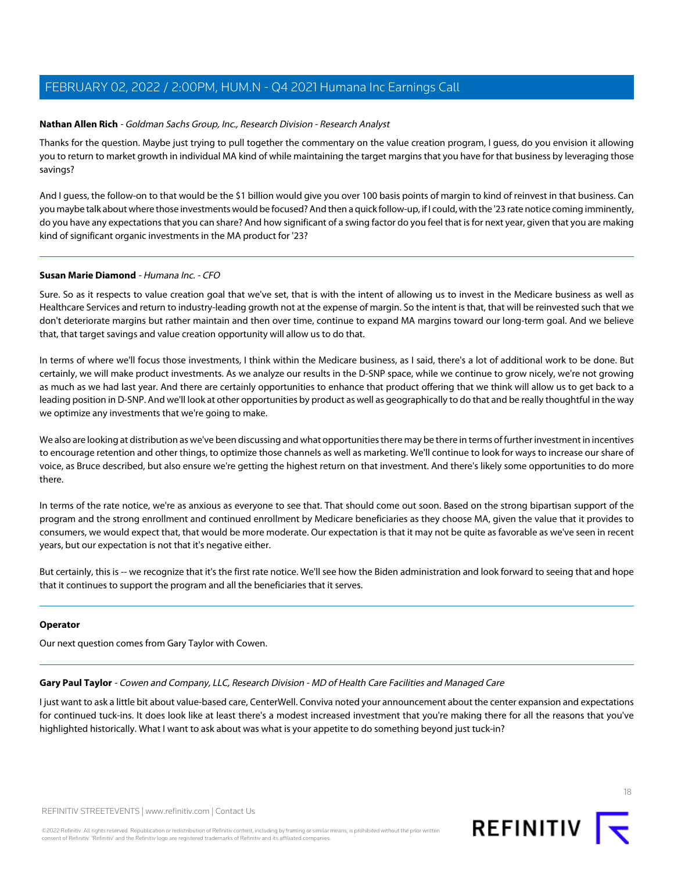### <span id="page-17-1"></span>**Nathan Allen Rich** - Goldman Sachs Group, Inc., Research Division - Research Analyst

Thanks for the question. Maybe just trying to pull together the commentary on the value creation program, I guess, do you envision it allowing you to return to market growth in individual MA kind of while maintaining the target margins that you have for that business by leveraging those savings?

And I guess, the follow-on to that would be the \$1 billion would give you over 100 basis points of margin to kind of reinvest in that business. Can you maybe talk about where those investments would be focused? And then a quick follow-up, if I could, with the '23 rate notice coming imminently, do you have any expectations that you can share? And how significant of a swing factor do you feel that is for next year, given that you are making kind of significant organic investments in the MA product for '23?

#### **Susan Marie Diamond** - Humana Inc. - CFO

Sure. So as it respects to value creation goal that we've set, that is with the intent of allowing us to invest in the Medicare business as well as Healthcare Services and return to industry-leading growth not at the expense of margin. So the intent is that, that will be reinvested such that we don't deteriorate margins but rather maintain and then over time, continue to expand MA margins toward our long-term goal. And we believe that, that target savings and value creation opportunity will allow us to do that.

In terms of where we'll focus those investments, I think within the Medicare business, as I said, there's a lot of additional work to be done. But certainly, we will make product investments. As we analyze our results in the D-SNP space, while we continue to grow nicely, we're not growing as much as we had last year. And there are certainly opportunities to enhance that product offering that we think will allow us to get back to a leading position in D-SNP. And we'll look at other opportunities by product as well as geographically to do that and be really thoughtful in the way we optimize any investments that we're going to make.

We also are looking at distribution as we've been discussing and what opportunities there may be there in terms of further investment in incentives to encourage retention and other things, to optimize those channels as well as marketing. We'll continue to look for ways to increase our share of voice, as Bruce described, but also ensure we're getting the highest return on that investment. And there's likely some opportunities to do more there.

In terms of the rate notice, we're as anxious as everyone to see that. That should come out soon. Based on the strong bipartisan support of the program and the strong enrollment and continued enrollment by Medicare beneficiaries as they choose MA, given the value that it provides to consumers, we would expect that, that would be more moderate. Our expectation is that it may not be quite as favorable as we've seen in recent years, but our expectation is not that it's negative either.

But certainly, this is -- we recognize that it's the first rate notice. We'll see how the Biden administration and look forward to seeing that and hope that it continues to support the program and all the beneficiaries that it serves.

#### <span id="page-17-0"></span>**Operator**

Our next question comes from Gary Taylor with Cowen.

**Gary Paul Taylor** - Cowen and Company, LLC, Research Division - MD of Health Care Facilities and Managed Care

I just want to ask a little bit about value-based care, CenterWell. Conviva noted your announcement about the center expansion and expectations for continued tuck-ins. It does look like at least there's a modest increased investment that you're making there for all the reasons that you've highlighted historically. What I want to ask about was what is your appetite to do something beyond just tuck-in?

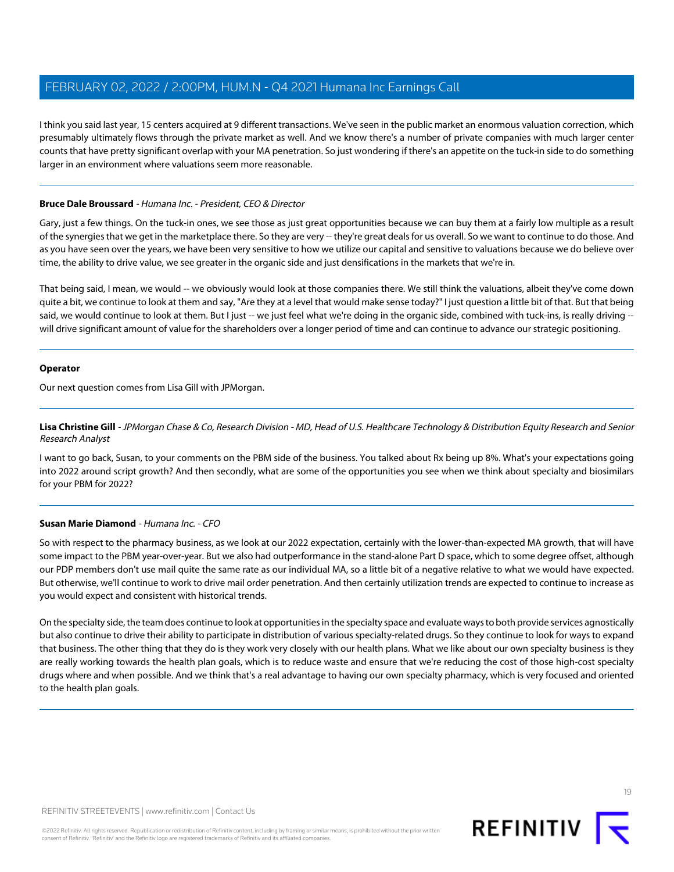I think you said last year, 15 centers acquired at 9 different transactions. We've seen in the public market an enormous valuation correction, which presumably ultimately flows through the private market as well. And we know there's a number of private companies with much larger center counts that have pretty significant overlap with your MA penetration. So just wondering if there's an appetite on the tuck-in side to do something larger in an environment where valuations seem more reasonable.

# **Bruce Dale Broussard** - Humana Inc. - President, CEO & Director

Gary, just a few things. On the tuck-in ones, we see those as just great opportunities because we can buy them at a fairly low multiple as a result of the synergies that we get in the marketplace there. So they are very -- they're great deals for us overall. So we want to continue to do those. And as you have seen over the years, we have been very sensitive to how we utilize our capital and sensitive to valuations because we do believe over time, the ability to drive value, we see greater in the organic side and just densifications in the markets that we're in.

That being said, I mean, we would -- we obviously would look at those companies there. We still think the valuations, albeit they've come down quite a bit, we continue to look at them and say, "Are they at a level that would make sense today?" I just question a little bit of that. But that being said, we would continue to look at them. But I just -- we just feel what we're doing in the organic side, combined with tuck-ins, is really driving -will drive significant amount of value for the shareholders over a longer period of time and can continue to advance our strategic positioning.

#### **Operator**

<span id="page-18-0"></span>Our next question comes from Lisa Gill with JPMorgan.

**Lisa Christine Gill** - JPMorgan Chase & Co, Research Division - MD, Head of U.S. Healthcare Technology & Distribution Equity Research and Senior Research Analyst

I want to go back, Susan, to your comments on the PBM side of the business. You talked about Rx being up 8%. What's your expectations going into 2022 around script growth? And then secondly, what are some of the opportunities you see when we think about specialty and biosimilars for your PBM for 2022?

# **Susan Marie Diamond** - Humana Inc. - CFO

So with respect to the pharmacy business, as we look at our 2022 expectation, certainly with the lower-than-expected MA growth, that will have some impact to the PBM year-over-year. But we also had outperformance in the stand-alone Part D space, which to some degree offset, although our PDP members don't use mail quite the same rate as our individual MA, so a little bit of a negative relative to what we would have expected. But otherwise, we'll continue to work to drive mail order penetration. And then certainly utilization trends are expected to continue to increase as you would expect and consistent with historical trends.

On the specialty side, the team does continue to look at opportunities in the specialty space and evaluate ways to both provide services agnostically but also continue to drive their ability to participate in distribution of various specialty-related drugs. So they continue to look for ways to expand that business. The other thing that they do is they work very closely with our health plans. What we like about our own specialty business is they are really working towards the health plan goals, which is to reduce waste and ensure that we're reducing the cost of those high-cost specialty drugs where and when possible. And we think that's a real advantage to having our own specialty pharmacy, which is very focused and oriented to the health plan goals.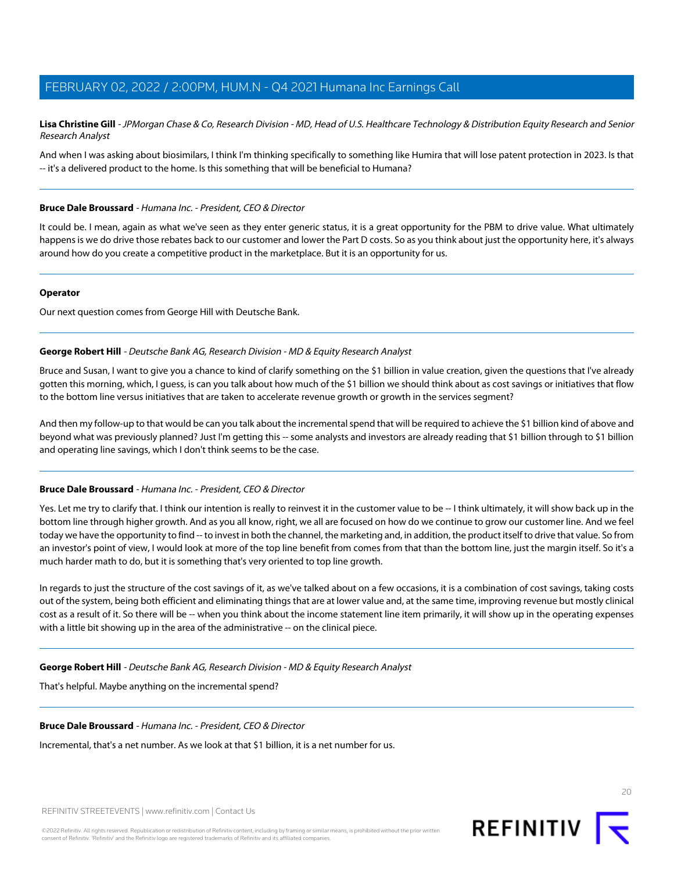**Lisa Christine Gill** - JPMorgan Chase & Co, Research Division - MD, Head of U.S. Healthcare Technology & Distribution Equity Research and Senior Research Analyst

And when I was asking about biosimilars, I think I'm thinking specifically to something like Humira that will lose patent protection in 2023. Is that -- it's a delivered product to the home. Is this something that will be beneficial to Humana?

#### **Bruce Dale Broussard** - Humana Inc. - President, CEO & Director

It could be. I mean, again as what we've seen as they enter generic status, it is a great opportunity for the PBM to drive value. What ultimately happens is we do drive those rebates back to our customer and lower the Part D costs. So as you think about just the opportunity here, it's always around how do you create a competitive product in the marketplace. But it is an opportunity for us.

#### **Operator**

<span id="page-19-0"></span>Our next question comes from George Hill with Deutsche Bank.

# **George Robert Hill** - Deutsche Bank AG, Research Division - MD & Equity Research Analyst

Bruce and Susan, I want to give you a chance to kind of clarify something on the \$1 billion in value creation, given the questions that I've already gotten this morning, which, I guess, is can you talk about how much of the \$1 billion we should think about as cost savings or initiatives that flow to the bottom line versus initiatives that are taken to accelerate revenue growth or growth in the services segment?

And then my follow-up to that would be can you talk about the incremental spend that will be required to achieve the \$1 billion kind of above and beyond what was previously planned? Just I'm getting this -- some analysts and investors are already reading that \$1 billion through to \$1 billion and operating line savings, which I don't think seems to be the case.

# **Bruce Dale Broussard** - Humana Inc. - President, CEO & Director

Yes. Let me try to clarify that. I think our intention is really to reinvest it in the customer value to be -- I think ultimately, it will show back up in the bottom line through higher growth. And as you all know, right, we all are focused on how do we continue to grow our customer line. And we feel today we have the opportunity to find -- to invest in both the channel, the marketing and, in addition, the product itself to drive that value. So from an investor's point of view, I would look at more of the top line benefit from comes from that than the bottom line, just the margin itself. So it's a much harder math to do, but it is something that's very oriented to top line growth.

In regards to just the structure of the cost savings of it, as we've talked about on a few occasions, it is a combination of cost savings, taking costs out of the system, being both efficient and eliminating things that are at lower value and, at the same time, improving revenue but mostly clinical cost as a result of it. So there will be -- when you think about the income statement line item primarily, it will show up in the operating expenses with a little bit showing up in the area of the administrative -- on the clinical piece.

#### **George Robert Hill** - Deutsche Bank AG, Research Division - MD & Equity Research Analyst

That's helpful. Maybe anything on the incremental spend?

#### **Bruce Dale Broussard** - Humana Inc. - President, CEO & Director

Incremental, that's a net number. As we look at that \$1 billion, it is a net number for us.



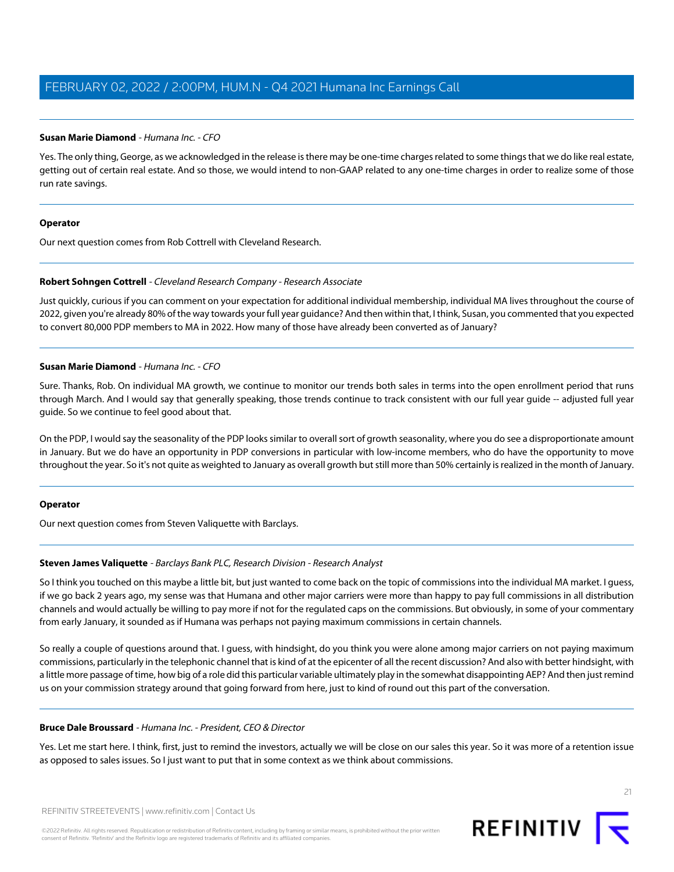### **Susan Marie Diamond** - Humana Inc. - CFO

Yes. The only thing, George, as we acknowledged in the release is there may be one-time charges related to some things that we do like real estate, getting out of certain real estate. And so those, we would intend to non-GAAP related to any one-time charges in order to realize some of those run rate savings.

#### **Operator**

<span id="page-20-0"></span>Our next question comes from Rob Cottrell with Cleveland Research.

#### **Robert Sohngen Cottrell** - Cleveland Research Company - Research Associate

Just quickly, curious if you can comment on your expectation for additional individual membership, individual MA lives throughout the course of 2022, given you're already 80% of the way towards your full year guidance? And then within that, I think, Susan, you commented that you expected to convert 80,000 PDP members to MA in 2022. How many of those have already been converted as of January?

#### **Susan Marie Diamond** - Humana Inc. - CFO

Sure. Thanks, Rob. On individual MA growth, we continue to monitor our trends both sales in terms into the open enrollment period that runs through March. And I would say that generally speaking, those trends continue to track consistent with our full year guide -- adjusted full year guide. So we continue to feel good about that.

On the PDP, I would say the seasonality of the PDP looks similar to overall sort of growth seasonality, where you do see a disproportionate amount in January. But we do have an opportunity in PDP conversions in particular with low-income members, who do have the opportunity to move throughout the year. So it's not quite as weighted to January as overall growth but still more than 50% certainly is realized in the month of January.

#### <span id="page-20-1"></span>**Operator**

Our next question comes from Steven Valiquette with Barclays.

# **Steven James Valiquette** - Barclays Bank PLC, Research Division - Research Analyst

So I think you touched on this maybe a little bit, but just wanted to come back on the topic of commissions into the individual MA market. I guess, if we go back 2 years ago, my sense was that Humana and other major carriers were more than happy to pay full commissions in all distribution channels and would actually be willing to pay more if not for the regulated caps on the commissions. But obviously, in some of your commentary from early January, it sounded as if Humana was perhaps not paying maximum commissions in certain channels.

So really a couple of questions around that. I guess, with hindsight, do you think you were alone among major carriers on not paying maximum commissions, particularly in the telephonic channel that is kind of at the epicenter of all the recent discussion? And also with better hindsight, with a little more passage of time, how big of a role did this particular variable ultimately play in the somewhat disappointing AEP? And then just remind us on your commission strategy around that going forward from here, just to kind of round out this part of the conversation.

# **Bruce Dale Broussard** - Humana Inc. - President, CEO & Director

Yes. Let me start here. I think, first, just to remind the investors, actually we will be close on our sales this year. So it was more of a retention issue as opposed to sales issues. So I just want to put that in some context as we think about commissions.